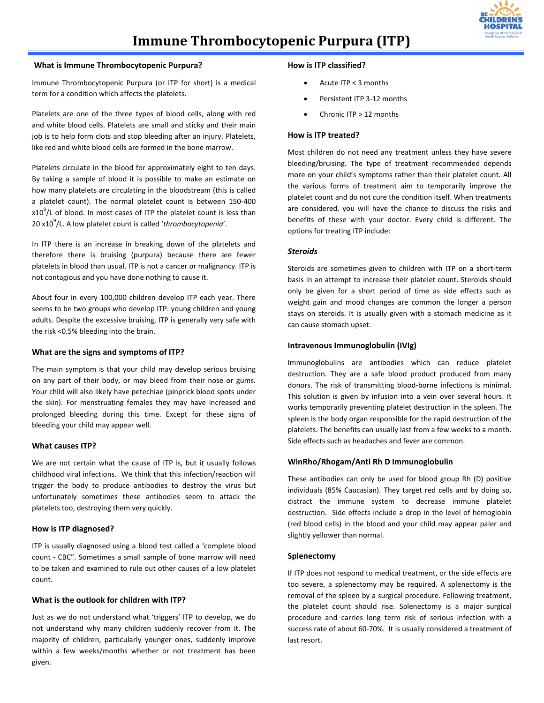

# **Immune Thrombocytopenic Purpura (ITP)**

#### **What is Immune Thrombocytopenic Purpura?**

Immune Thrombocytopenic Purpura (or ITP for short) is a medical term for a condition which affects the platelets.

Platelets are one of the three types of blood cells, along with red and white blood cells. Platelets are small and sticky and their main job is to help form clots and stop bleeding after an injury. Platelets, like red and white blood cells are formed in the bone marrow.

Platelets circulate in the blood for approximately eight to ten days. By taking a sample of blood it is possible to make an estimate on how many platelets are circulating in the bloodstream (this is called a platelet count). The normal platelet count is between 150-400  $x10<sup>9</sup>/L$  of blood. In most cases of ITP the platelet count is less than 20 x109 /L. A low platelet count is called '*thrombocytopenia*'.

In ITP there is an increase in breaking down of the platelets and therefore there is bruising (purpura) because there are fewer platelets in blood than usual. ITP is not a cancer or malignancy. ITP is not contagious and you have done nothing to cause it.

About four in every 100,000 children develop ITP each year. There seems to be two groups who develop ITP: young children and young adults. Despite the excessive bruising, ITP is generally very safe with the risk <0.5% bleeding into the brain.

# **What are the signs and symptoms of ITP?**

The main symptom is that your child may develop serious bruising on any part of their body, or may bleed from their nose or gums. Your child will also likely have petechiae (pinprick blood spots under the skin). For menstruating females they may have increased and prolonged bleeding during this time. Except for these signs of bleeding your child may appear well.

# **What causes ITP?**

We are not certain what the cause of ITP is, but it usually follows childhood viral infections. We think that this infection/reaction will trigger the body to produce antibodies to destroy the virus but unfortunately sometimes these antibodies seem to attack the platelets too, destroying them very quickly.

#### **How is ITP diagnosed?**

ITP is usually diagnosed using a blood test called a 'complete blood count - CBC". Sometimes a small sample of bone marrow will need to be taken and examined to rule out other causes of a low platelet count.

# **What is the outlook for children with ITP?**

Just as we do not understand what 'triggers' ITP to develop, we do not understand why many children suddenly recover from it. The majority of children, particularly younger ones, suddenly improve within a few weeks/months whether or not treatment has been given.

## **How is ITP classified?**

- Acute ITP < 3 months
- Persistent ITP 3-12 months
- Chronic ITP > 12 months

## **How is ITP treated?**

Most children do not need any treatment unless they have severe bleeding/bruising. The type of treatment recommended depends more on your child's symptoms rather than their platelet count. All the various forms of treatment aim to temporarily improve the platelet count and do not cure the condition itself. When treatments are considered, you will have the chance to discuss the risks and benefits of these with your doctor. Every child is different. The options for treating ITP include:

## *Steroids*

Steroids are sometimes given to children with ITP on a short-term basis in an attempt to increase their platelet count. Steroids should only be given for a short period of time as side effects such as weight gain and mood changes are common the longer a person stays on steroids. It is usually given with a stomach medicine as it can cause stomach upset.

## **Intravenous Immunoglobulin (IVIg)**

Immunoglobulins are antibodies which can reduce platelet destruction. They are a safe blood product produced from many donors. The risk of transmitting blood-borne infections is minimal. This solution is given by infusion into a vein over several hours. It works temporarily preventing platelet destruction in the spleen. The spleen is the body organ responsible for the rapid destruction of the platelets. The benefits can usually last from a few weeks to a month. Side effects such as headaches and fever are common.

# **WinRho/Rhogam/Anti Rh D Immunoglobulin**

These antibodies can only be used for blood group Rh (D) positive individuals (85% Caucasian). They target red cells and by doing so, distract the immune system to decrease immune platelet destruction. Side effects include a drop in the level of hemoglobin (red blood cells) in the blood and your child may appear paler and slightly yellower than normal.

## **Splenectomy**

If ITP does not respond to medical treatment, or the side effects are too severe, a splenectomy may be required. A splenectomy is the removal of the spleen by a surgical procedure. Following treatment, the platelet count should rise. Splenectomy is a major surgical procedure and carries long term risk of serious infection with a success rate of about 60-70%. It is usually considered a treatment of last resort.